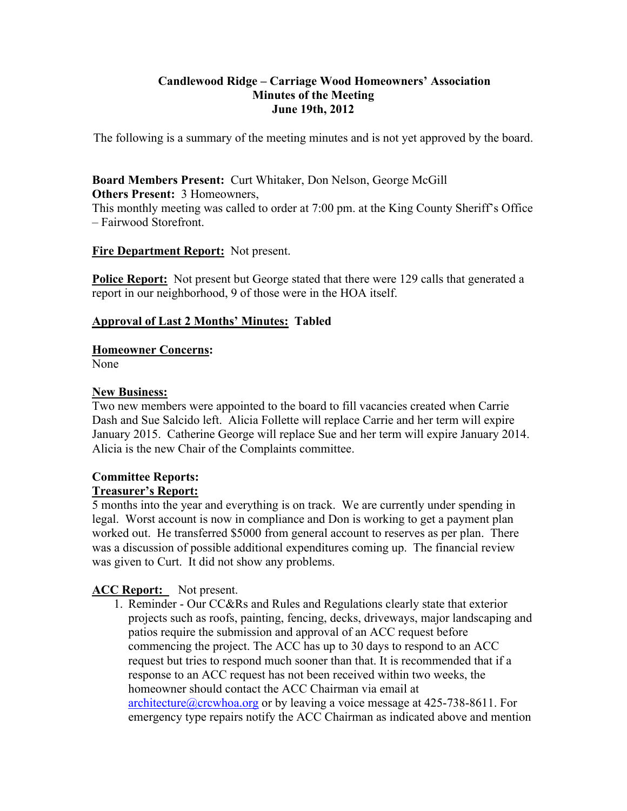## **Candlewood Ridge – Carriage Wood Homeowners' Association Minutes of the Meeting June 19th, 2012**

The following is a summary of the meeting minutes and is not yet approved by the board.

#### **Board Members Present:** Curt Whitaker, Don Nelson, George McGill **Others Present:** 3 Homeowners,

This monthly meeting was called to order at 7:00 pm. at the King County Sheriff's Office – Fairwood Storefront.

## **Fire Department Report:** Not present.

**Police Report:** Not present but George stated that there were 129 calls that generated a report in our neighborhood, 9 of those were in the HOA itself.

## **Approval of Last 2 Months' Minutes: Tabled**

## **Homeowner Concerns:**

None

## **New Business:**

Two new members were appointed to the board to fill vacancies created when Carrie Dash and Sue Salcido left. Alicia Follette will replace Carrie and her term will expire January 2015. Catherine George will replace Sue and her term will expire January 2014. Alicia is the new Chair of the Complaints committee.

## **Committee Reports: Treasurer's Report:**

5 months into the year and everything is on track. We are currently under spending in legal. Worst account is now in compliance and Don is working to get a payment plan worked out. He transferred \$5000 from general account to reserves as per plan. There was a discussion of possible additional expenditures coming up. The financial review was given to Curt. It did not show any problems.

## **ACC Report:** Not present.

1. Reminder - Our CC&Rs and Rules and Regulations clearly state that exterior projects such as roofs, painting, fencing, decks, driveways, major landscaping and patios require the submission and approval of an ACC request before commencing the project. The ACC has up to 30 days to respond to an ACC request but tries to respond much sooner than that. It is recommended that if a response to an ACC request has not been received within two weeks, the homeowner should contact the ACC Chairman via email at architecture@crcwhoa.org or by leaving a voice message at 425-738-8611. For emergency type repairs notify the ACC Chairman as indicated above and mention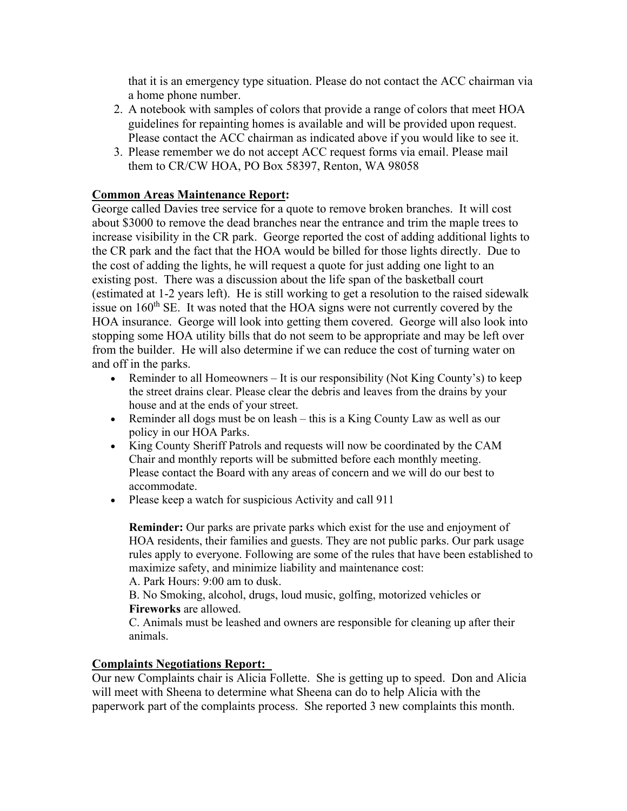that it is an emergency type situation. Please do not contact the ACC chairman via a home phone number.

- 2. A notebook with samples of colors that provide a range of colors that meet HOA guidelines for repainting homes is available and will be provided upon request. Please contact the ACC chairman as indicated above if you would like to see it.
- 3. Please remember we do not accept ACC request forms via email. Please mail them to CR/CW HOA, PO Box 58397, Renton, WA 98058

# **Common Areas Maintenance Report:**

George called Davies tree service for a quote to remove broken branches. It will cost about \$3000 to remove the dead branches near the entrance and trim the maple trees to increase visibility in the CR park. George reported the cost of adding additional lights to the CR park and the fact that the HOA would be billed for those lights directly. Due to the cost of adding the lights, he will request a quote for just adding one light to an existing post. There was a discussion about the life span of the basketball court (estimated at 1-2 years left). He is still working to get a resolution to the raised sidewalk issue on  $160<sup>th</sup>$  SE. It was noted that the HOA signs were not currently covered by the HOA insurance. George will look into getting them covered. George will also look into stopping some HOA utility bills that do not seem to be appropriate and may be left over from the builder. He will also determine if we can reduce the cost of turning water on and off in the parks.

- Exeminder to all Homeowners It is our responsibility (Not King County's) to keep the street drains clear. Please clear the debris and leaves from the drains by your house and at the ends of your street.
- Reminder all dogs must be on leash this is a King County Law as well as our policy in our HOA Parks.
- King County Sheriff Patrols and requests will now be coordinated by the CAM Chair and monthly reports will be submitted before each monthly meeting. Please contact the Board with any areas of concern and we will do our best to accommodate.
- Please keep a watch for suspicious Activity and call 911

**Reminder:** Our parks are private parks which exist for the use and enjoyment of HOA residents, their families and guests. They are not public parks. Our park usage rules apply to everyone. Following are some of the rules that have been established to maximize safety, and minimize liability and maintenance cost:

A. Park Hours: 9:00 am to dusk.

B. No Smoking, alcohol, drugs, loud music, golfing, motorized vehicles or **Fireworks** are allowed.

C. Animals must be leashed and owners are responsible for cleaning up after their animals.

## **Complaints Negotiations Report:**

Our new Complaints chair is Alicia Follette. She is getting up to speed. Don and Alicia will meet with Sheena to determine what Sheena can do to help Alicia with the paperwork part of the complaints process. She reported 3 new complaints this month.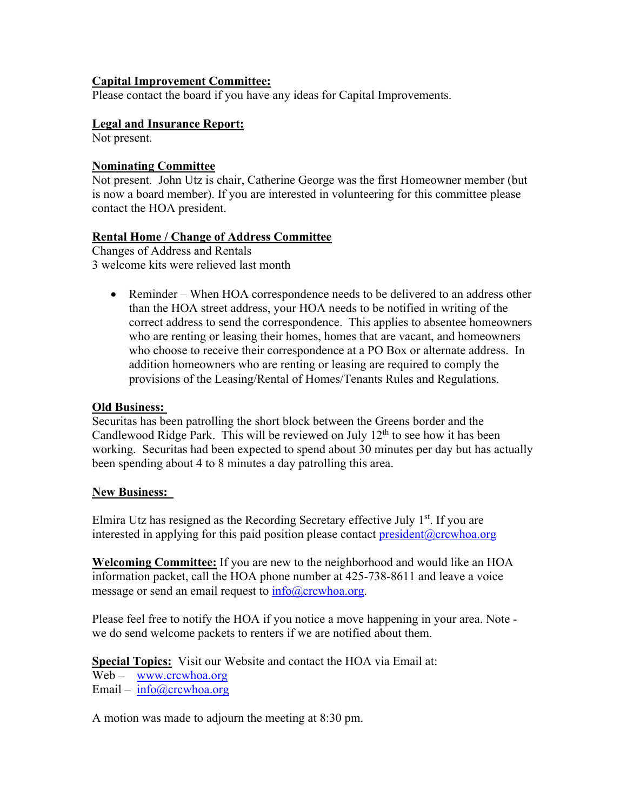## **Capital Improvement Committee:**

Please contact the board if you have any ideas for Capital Improvements.

## **Legal and Insurance Report:**

Not present.

## **Nominating Committee**

Not present. John Utz is chair, Catherine George was the first Homeowner member (but is now a board member). If you are interested in volunteering for this committee please contact the HOA president.

## **Rental Home / Change of Address Committee**

Changes of Address and Rentals 3 welcome kits were relieved last month

• Reminder – When HOA correspondence needs to be delivered to an address other than the HOA street address, your HOA needs to be notified in writing of the correct address to send the correspondence. This applies to absentee homeowners who are renting or leasing their homes, homes that are vacant, and homeowners who choose to receive their correspondence at a PO Box or alternate address. In addition homeowners who are renting or leasing are required to comply the provisions of the Leasing/Rental of Homes/Tenants Rules and Regulations.

## **Old Business:**

Securitas has been patrolling the short block between the Greens border and the Candlewood Ridge Park. This will be reviewed on July  $12<sup>th</sup>$  to see how it has been working. Securitas had been expected to spend about 30 minutes per day but has actually been spending about 4 to 8 minutes a day patrolling this area.

#### **New Business:**

Elmira Utz has resigned as the Recording Secretary effective July  $1<sup>st</sup>$ . If you are interested in applying for this paid position please contact  $president@crcwhoa.org$ 

**Welcoming Committee:** If you are new to the neighborhood and would like an HOA information packet, call the HOA phone number at 425-738-8611 and leave a voice message or send an email request to  $info@crcwhoa.org$ .

Please feel free to notify the HOA if you notice a move happening in your area. Note we do send welcome packets to renters if we are notified about them.

**Special Topics:** Visit our Website and contact the HOA via Email at:

Web – www.crcwhoa.org Email – info@crcwhoa.org

A motion was made to adjourn the meeting at 8:30 pm.